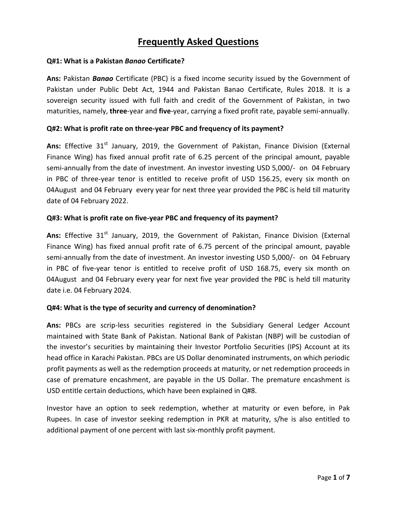# **Frequently Asked Questions**

#### **Q#1: What is a Pakistan** *Banao* **Certificate?**

**Ans:** Pakistan *Banao* Certificate (PBC) is a fixed income security issued by the Government of Pakistan under Public Debt Act, 1944 and Pakistan Banao Certificate, Rules 2018. It is a sovereign security issued with full faith and credit of the Government of Pakistan, in two maturities, namely, **three**-year and **five**-year, carrying a fixed profit rate, payable semi-annually.

#### **Q#2: What is profit rate on three-year PBC and frequency of its payment?**

Ans: Effective 31<sup>st</sup> January, 2019, the Government of Pakistan, Finance Division (External Finance Wing) has fixed annual profit rate of 6.25 percent of the principal amount, payable semi-annually from the date of investment. An investor investing USD 5,000/- on 04 February in PBC of three-year tenor is entitled to receive profit of USD 156.25, every six month on 04August and 04 February every year for next three year provided the PBC is held till maturity date of 04 February 2022.

# **Q#3: What is profit rate on five-year PBC and frequency of its payment?**

Ans: Effective 31<sup>st</sup> January, 2019, the Government of Pakistan, Finance Division (External Finance Wing) has fixed annual profit rate of 6.75 percent of the principal amount, payable semi-annually from the date of investment. An investor investing USD 5,000/- on 04 February in PBC of five-year tenor is entitled to receive profit of USD 168.75, every six month on 04August and 04 February every year for next five year provided the PBC is held till maturity date i.e. 04 February 2024.

# **Q#4: What is the type of security and currency of denomination?**

**Ans:** PBCs are scrip-less securities registered in the Subsidiary General Ledger Account maintained with State Bank of Pakistan. National Bank of Pakistan (NBP) will be custodian of the investor's securities by maintaining their Investor Portfolio Securities (IPS) Account at its head office in Karachi Pakistan. PBCs are US Dollar denominated instruments, on which periodic profit payments as well as the redemption proceeds at maturity, or net redemption proceeds in case of premature encashment, are payable in the US Dollar. The premature encashment is USD entitle certain deductions, which have been explained in Q#8.

Investor have an option to seek redemption, whether at maturity or even before, in Pak Rupees. In case of investor seeking redemption in PKR at maturity, s/he is also entitled to additional payment of one percent with last six-monthly profit payment.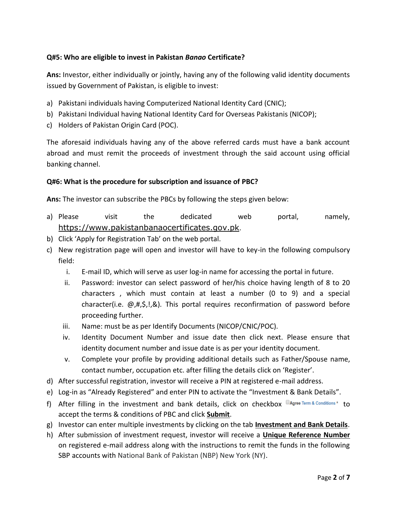# **Q#5: Who are eligible to invest in Pakistan** *Banao* **Certificate?**

**Ans:** Investor, either individually or jointly, having any of the following valid identity documents issued by Government of Pakistan, is eligible to invest:

- a) Pakistani individuals having Computerized National Identity Card (CNIC);
- b) Pakistani Individual having National Identity Card for Overseas Pakistanis (NICOP);
- c) Holders of Pakistan Origin Card (POC).

The aforesaid individuals having any of the above referred cards must have a bank account abroad and must remit the proceeds of investment through the said account using official banking channel.

# **Q#6: What is the procedure for subscription and issuance of PBC?**

**Ans:** The investor can subscribe the PBCs by following the steps given below:

- a) Please visit the dedicated web portal, namely, [https://www.pakistanbanaocertificates.gov.pk](https://www.pakistanbanaocertificates.gov.pk/Default).
- b) Click 'Apply for Registration Tab' on the web portal.
- c) New registration page will open and investor will have to key-in the following compulsory field:
	- i. E-mail ID, which will serve as user log-in name for accessing the portal in future.
	- ii. Password: investor can select password of her/his choice having length of 8 to 20 characters , which must contain at least a number (0 to 9) and a special character(i.e. @,#,\$,!,&). This portal requires reconfirmation of password before proceeding further.
	- iii. Name: must be as per Identify Documents (NICOP/CNIC/POC).
	- iv. Identity Document Number and issue date then click next. Please ensure that identity document number and issue date is as per your identity document.
	- v. Complete your profile by providing additional details such as Father/Spouse name, contact number, occupation etc. after filling the details click on 'Register'.
- d) After successful registration, investor will receive a PIN at registered e-mail address.
- e) Log-in as "Already Registered" and enter PIN to activate the "Investment & Bank Details".
- f) After filling in the investment and bank details, click on checkbox  $\Box$  Agree Term & Conditions\* to accept the terms & conditions of PBC and click **Submit**.
- g) Investor can enter multiple investments by clicking on the tab **Investment and Bank Details**.
- h) After submission of investment request, investor will receive a **Unique Reference Number** on registered e-mail address along with the instructions to remit the funds in the following SBP accounts with National Bank of Pakistan (NBP) New York (NY).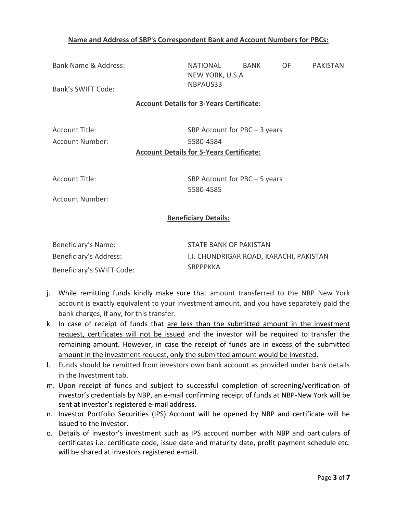# **Name and Address of SBP's Correspondent Bank and Account Numbers for PBCs:**

Bank Name & Address: NATIONAL BANK OF PAKISTAN NEW YORK, U.S.A

Bank's SWIFT Code: NBPAUS33

#### **Account Details for 3-Years Certificate:**

Account Title: SBP Account for PBC – 3 years Account Number: 5580-4584 **Account Details for 5-Years Certificate:**

Account Title: SBP Account for PBC – 5 years 5580-4585

Account Number:

# **Beneficiary Details:**

| Beneficiary's Name:       | STATE BANK OF PAKISTAN                  |
|---------------------------|-----------------------------------------|
| Beneficiary's Address:    | I.I. CHUNDRIGAR ROAD, KARACHI, PAKISTAN |
| Beneficiary's SWIFT Code: | SBPPPKKA                                |

- j. While remitting funds kindly make sure that amount transferred to the NBP New York account is exactly equivalent to your investment amount, and you have separately paid the bank charges, if any, for this transfer.
- k. In case of receipt of funds that are less than the submitted amount in the investment request, certificates will not be issued and the investor will be required to transfer the remaining amount. However, in case the receipt of funds are in excess of the submitted amount in the investment request, only the submitted amount would be invested.
- l. Funds should be remitted from investors own bank account as provided under bank details in the Investment tab.
- m. Upon receipt of funds and subject to successful completion of screening/verification of investor's credentials by NBP, an e-mail confirming receipt of funds at NBP-New York will be sent at investor's registered e-mail address.
- n. Investor Portfolio Securities (IPS) Account will be opened by NBP and certificate will be issued to the investor.
- o. Details of investor's investment such as IPS account number with NBP and particulars of certificates i.e. certificate code, issue date and maturity date, profit payment schedule etc. will be shared at investors registered e-mail.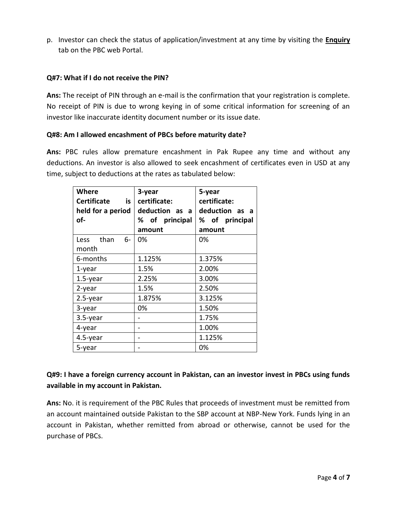p. Investor can check the status of application/investment at any time by visiting the **Enquiry** tab on the PBC web Portal.

# **Q#7: What if I do not receive the PIN?**

**Ans:** The receipt of PIN through an e-mail is the confirmation that your registration is complete. No receipt of PIN is due to wrong keying in of some critical information for screening of an investor like inaccurate identity document number or its issue date.

#### **Q#8: Am I allowed encashment of PBCs before maturity date?**

**Ans:** PBC rules allow premature encashment in Pak Rupee any time and without any deductions. An investor is also allowed to seek encashment of certificates even in USD at any time, subject to deductions at the rates as tabulated below:

| <b>Where</b><br><b>Certificate</b><br>is l<br>held for a period<br>of- | 3-year<br>certificate:<br>deduction as a<br>% of principal<br>amount | 5-year<br>certificate:<br>deduction as a<br>% of principal<br>amount |
|------------------------------------------------------------------------|----------------------------------------------------------------------|----------------------------------------------------------------------|
| than<br>Less<br>6-<br>month                                            | 0%                                                                   | 0%                                                                   |
| 6-months                                                               | 1.125%                                                               | 1.375%                                                               |
| 1-year                                                                 | 1.5%                                                                 | 2.00%                                                                |
| $1.5$ -year                                                            | 2.25%                                                                | 3.00%                                                                |
| 2-year                                                                 | 1.5%                                                                 | 2.50%                                                                |
| $2.5$ -year                                                            | 1.875%                                                               | 3.125%                                                               |
| 3-year                                                                 | 0%                                                                   | 1.50%                                                                |
| $3.5$ -year                                                            |                                                                      | 1.75%                                                                |
| 4-year                                                                 |                                                                      | 1.00%                                                                |
| 4.5-year                                                               |                                                                      | 1.125%                                                               |
| 5-year                                                                 |                                                                      | 0%                                                                   |

# **Q#9: I have a foreign currency account in Pakistan, can an investor invest in PBCs using funds available in my account in Pakistan.**

**Ans:** No. it is requirement of the PBC Rules that proceeds of investment must be remitted from an account maintained outside Pakistan to the SBP account at NBP-New York. Funds lying in an account in Pakistan, whether remitted from abroad or otherwise, cannot be used for the purchase of PBCs.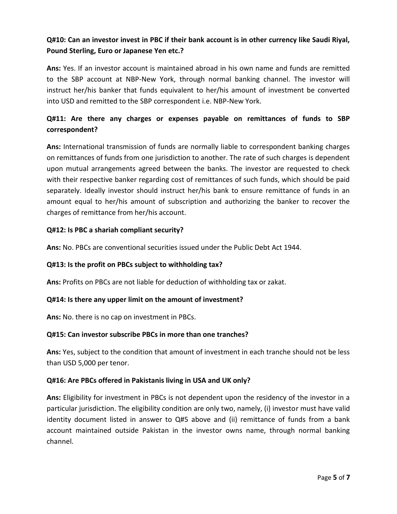# **Q#10: Can an investor invest in PBC if their bank account is in other currency like Saudi Riyal, Pound Sterling, Euro or Japanese Yen etc.?**

**Ans:** Yes. If an investor account is maintained abroad in his own name and funds are remitted to the SBP account at NBP-New York, through normal banking channel. The investor will instruct her/his banker that funds equivalent to her/his amount of investment be converted into USD and remitted to the SBP correspondent i.e. NBP-New York.

# **Q#11: Are there any charges or expenses payable on remittances of funds to SBP correspondent?**

**Ans:** International transmission of funds are normally liable to correspondent banking charges on remittances of funds from one jurisdiction to another. The rate of such charges is dependent upon mutual arrangements agreed between the banks. The investor are requested to check with their respective banker regarding cost of remittances of such funds, which should be paid separately. Ideally investor should instruct her/his bank to ensure remittance of funds in an amount equal to her/his amount of subscription and authorizing the banker to recover the charges of remittance from her/his account.

# **Q#12: Is PBC a shariah compliant security?**

**Ans:** No. PBCs are conventional securities issued under the Public Debt Act 1944.

# **Q#13: Is the profit on PBCs subject to withholding tax?**

**Ans:** Profits on PBCs are not liable for deduction of withholding tax or zakat.

# **Q#14: Is there any upper limit on the amount of investment?**

**Ans:** No. there is no cap on investment in PBCs.

# **Q#15: Can investor subscribe PBCs in more than one tranches?**

**Ans:** Yes, subject to the condition that amount of investment in each tranche should not be less than USD 5,000 per tenor.

# **Q#16: Are PBCs offered in Pakistanis living in USA and UK only?**

**Ans:** Eligibility for investment in PBCs is not dependent upon the residency of the investor in a particular jurisdiction. The eligibility condition are only two, namely, (i) investor must have valid identity document listed in answer to Q#5 above and (ii) remittance of funds from a bank account maintained outside Pakistan in the investor owns name, through normal banking channel.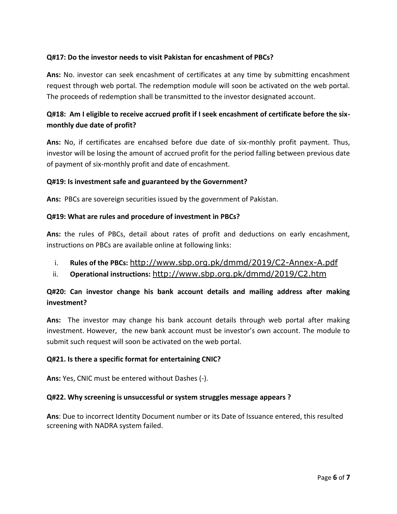# **Q#17: Do the investor needs to visit Pakistan for encashment of PBCs?**

**Ans:** No. investor can seek encashment of certificates at any time by submitting encashment request through web portal. The redemption module will soon be activated on the web portal. The proceeds of redemption shall be transmitted to the investor designated account.

# **Q#18: Am I eligible to receive accrued profit if I seek encashment of certificate before the sixmonthly due date of profit?**

**Ans:** No, if certificates are encahsed before due date of six-monthly profit payment. Thus, investor will be losing the amount of accrued profit for the period falling between previous date of payment of six-monthly profit and date of encashment.

# **Q#19: Is investment safe and guaranteed by the Government?**

**Ans:** PBCs are sovereign securities issued by the government of Pakistan.

# **Q#19: What are rules and procedure of investment in PBCs?**

**Ans:** the rules of PBCs, detail about rates of profit and deductions on early encashment, instructions on PBCs are available online at following links:

- i. **Rules of the PBCs:** <http://www.sbp.org.pk/dmmd/2019/C2-Annex-A.pdf>
- ii. **Operational instructions:** <http://www.sbp.org.pk/dmmd/2019/C2.htm>

# **Q#20: Can investor change his bank account details and mailing address after making investment?**

**Ans:** The investor may change his bank account details through web portal after making investment. However, the new bank account must be investor's own account. The module to submit such request will soon be activated on the web portal.

# **Q#21. Is there a specific format for entertaining CNIC?**

**Ans:** Yes, CNIC must be entered without Dashes (-).

# **Q#22. Why screening is unsuccessful or system struggles message appears ?**

**Ans**: Due to incorrect Identity Document number or its Date of Issuance entered, this resulted screening with NADRA system failed.